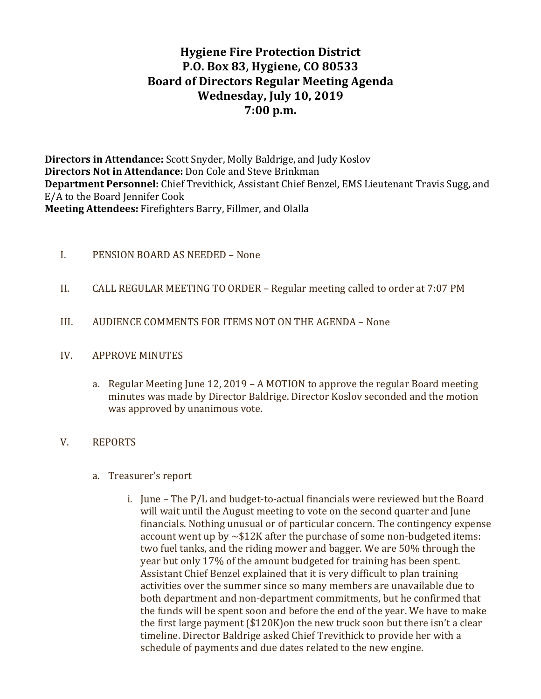# **Hygiene Fire Protection District P.O. Box 83, Hygiene, CO 80533 Board of Directors Regular Meeting Agenda Wednesday, July 10, 2019 7:00 p.m.**

**Directors in Attendance:** Scott Snyder, Molly Baldrige, and Judy Koslov **Directors Not in Attendance:** Don Cole and Steve Brinkman **Department Personnel:** Chief Trevithick, Assistant Chief Benzel, EMS Lieutenant Travis Sugg, and E/A to the Board Jennifer Cook **Meeting Attendees:** Firefighters Barry, Fillmer, and Olalla

- I. PENSION BOARD AS NEEDED None
- II. CALL REGULAR MEETING TO ORDER Regular meeting called to order at 7:07 PM
- III. AUDIENCE COMMENTS FOR ITEMS NOT ON THE AGENDA None
- IV. APPROVE MINUTES
	- a. Regular Meeting June 12, 2019 A MOTION to approve the regular Board meeting minutes was made by Director Baldrige. Director Koslov seconded and the motion was approved by unanimous vote.
- V. REPORTS
	- a. Treasurer's report
		- i. June The  $P/L$  and budget-to-actual financials were reviewed but the Board will wait until the August meeting to vote on the second quarter and June financials. Nothing unusual or of particular concern. The contingency expense account went up by  $\sim$ \$12K after the purchase of some non-budgeted items: two fuel tanks, and the riding mower and bagger. We are 50% through the year but only 17% of the amount budgeted for training has been spent. Assistant Chief Benzel explained that it is very difficult to plan training activities over the summer since so many members are unavailable due to both department and non-department commitments, but he confirmed that the funds will be spent soon and before the end of the year. We have to make the first large payment  $(\$120K)$ on the new truck soon but there isn't a clear timeline. Director Baldrige asked Chief Trevithick to provide her with a schedule of payments and due dates related to the new engine.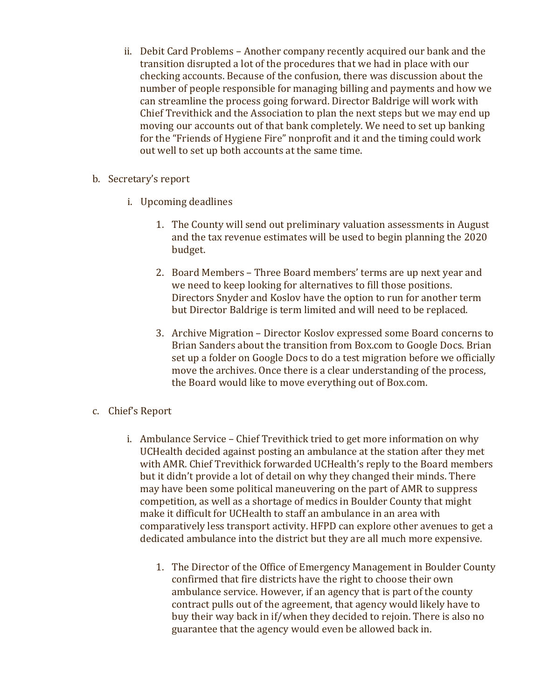- ii. Debit Card Problems Another company recently acquired our bank and the transition disrupted a lot of the procedures that we had in place with our checking accounts. Because of the confusion, there was discussion about the number of people responsible for managing billing and payments and how we can streamline the process going forward. Director Baldrige will work with Chief Trevithick and the Association to plan the next steps but we may end up moving our accounts out of that bank completely. We need to set up banking for the "Friends of Hygiene Fire" nonprofit and it and the timing could work out well to set up both accounts at the same time.
- b. Secretary's report
	- i. Upcoming deadlines
		- 1. The County will send out preliminary valuation assessments in August and the tax revenue estimates will be used to begin planning the 2020 budget.
		- 2. Board Members Three Board members' terms are up next year and we need to keep looking for alternatives to fill those positions. Directors Snyder and Koslov have the option to run for another term but Director Baldrige is term limited and will need to be replaced.
		- 3. Archive Migration Director Koslov expressed some Board concerns to Brian Sanders about the transition from Box.com to Google Docs. Brian set up a folder on Google Docs to do a test migration before we officially move the archives. Once there is a clear understanding of the process, the Board would like to move everything out of Box.com.
- c. Chief's Report
	- i. Ambulance Service Chief Trevithick tried to get more information on why UCHealth decided against posting an ambulance at the station after they met with AMR. Chief Trevithick forwarded UCHealth's reply to the Board members but it didn't provide a lot of detail on why they changed their minds. There may have been some political maneuvering on the part of AMR to suppress competition, as well as a shortage of medics in Boulder County that might make it difficult for UCHealth to staff an ambulance in an area with comparatively less transport activity. HFPD can explore other avenues to get a dedicated ambulance into the district but they are all much more expensive.
		- 1. The Director of the Office of Emergency Management in Boulder County confirmed that fire districts have the right to choose their own ambulance service. However, if an agency that is part of the county contract pulls out of the agreement, that agency would likely have to buy their way back in if/when they decided to rejoin. There is also no guarantee that the agency would even be allowed back in.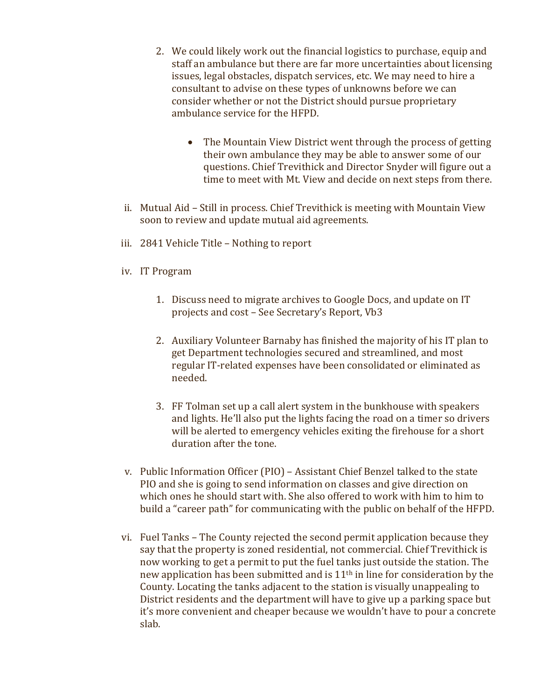- 2. We could likely work out the financial logistics to purchase, equip and staff an ambulance but there are far more uncertainties about licensing issues, legal obstacles, dispatch services, etc. We may need to hire a consultant to advise on these types of unknowns before we can consider whether or not the District should pursue proprietary ambulance service for the HFPD.
	- The Mountain View District went through the process of getting their own ambulance they may be able to answer some of our questions. Chief Trevithick and Director Snyder will figure out a time to meet with Mt. View and decide on next steps from there.
- ii. Mutual Aid Still in process. Chief Trevithick is meeting with Mountain View soon to review and update mutual aid agreements.
- iii. 2841 Vehicle Title Nothing to report
- iv. IT Program
	- 1. Discuss need to migrate archives to Google Docs, and update on IT projects and cost - See Secretary's Report, Vb3
	- 2. Auxiliary Volunteer Barnaby has finished the majority of his IT plan to get Department technologies secured and streamlined, and most regular IT-related expenses have been consolidated or eliminated as needed.
	- 3. FF Tolman set up a call alert system in the bunkhouse with speakers and lights. He'll also put the lights facing the road on a timer so drivers will be alerted to emergency vehicles exiting the firehouse for a short duration after the tone.
- v. Public Information Officer (PIO) Assistant Chief Benzel talked to the state PIO and she is going to send information on classes and give direction on which ones he should start with. She also offered to work with him to him to build a "career path" for communicating with the public on behalf of the HFPD.
- vi. Fuel Tanks The County rejected the second permit application because they say that the property is zoned residential, not commercial. Chief Trevithick is now working to get a permit to put the fuel tanks just outside the station. The new application has been submitted and is  $11<sup>th</sup>$  in line for consideration by the County. Locating the tanks adjacent to the station is visually unappealing to District residents and the department will have to give up a parking space but it's more convenient and cheaper because we wouldn't have to pour a concrete slab.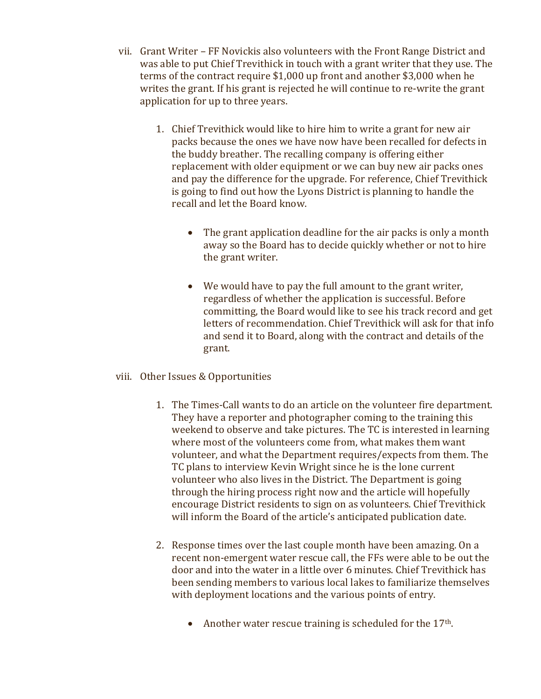- vii. Grant Writer FF Novickis also volunteers with the Front Range District and was able to put Chief Trevithick in touch with a grant writer that they use. The terms of the contract require  $$1,000$  up front and another  $$3,000$  when he writes the grant. If his grant is rejected he will continue to re-write the grant application for up to three years.
	- 1. Chief Trevithick would like to hire him to write a grant for new air packs because the ones we have now have been recalled for defects in the buddy breather. The recalling company is offering either replacement with older equipment or we can buy new air packs ones and pay the difference for the upgrade. For reference, Chief Trevithick is going to find out how the Lyons District is planning to handle the recall and let the Board know.
		- The grant application deadline for the air packs is only a month away so the Board has to decide quickly whether or not to hire the grant writer.
		- We would have to pay the full amount to the grant writer, regardless of whether the application is successful. Before committing, the Board would like to see his track record and get letters of recommendation. Chief Trevithick will ask for that info and send it to Board, along with the contract and details of the grant.
- viii. Other Issues & Opportunities
	- 1. The Times-Call wants to do an article on the volunteer fire department. They have a reporter and photographer coming to the training this weekend to observe and take pictures. The TC is interested in learning where most of the volunteers come from, what makes them want volunteer, and what the Department requires/expects from them. The TC plans to interview Kevin Wright since he is the lone current volunteer who also lives in the District. The Department is going through the hiring process right now and the article will hopefully encourage District residents to sign on as volunteers. Chief Trevithick will inform the Board of the article's anticipated publication date.
	- 2. Response times over the last couple month have been amazing. On a recent non-emergent water rescue call, the FFs were able to be out the door and into the water in a little over 6 minutes. Chief Trevithick has been sending members to various local lakes to familiarize themselves with deployment locations and the various points of entry.
		- Another water rescue training is scheduled for the  $17<sup>th</sup>$ .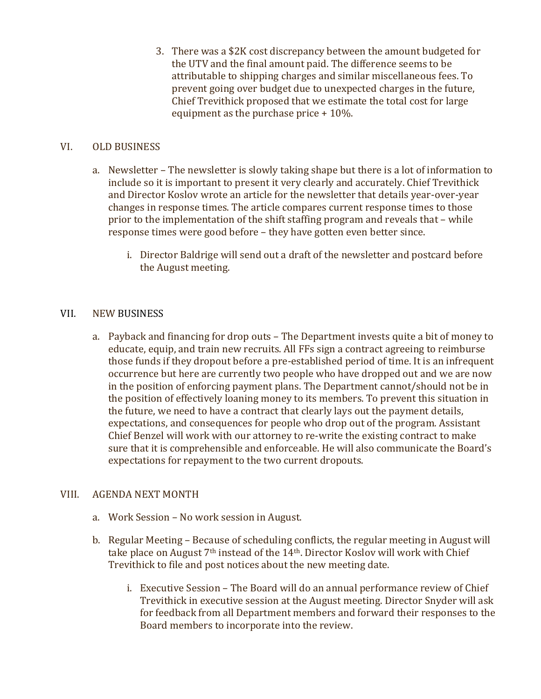3. There was a \$2K cost discrepancy between the amount budgeted for the UTV and the final amount paid. The difference seems to be attributable to shipping charges and similar miscellaneous fees. To prevent going over budget due to unexpected charges in the future, Chief Trevithick proposed that we estimate the total cost for large equipment as the purchase price  $+10%$ .

## VI. OLD BUSINESS

- a. Newsletter The newsletter is slowly taking shape but there is a lot of information to include so it is important to present it very clearly and accurately. Chief Trevithick and Director Koslov wrote an article for the newsletter that details year-over-year changes in response times. The article compares current response times to those prior to the implementation of the shift staffing program and reveals that  $-$  while response times were good before - they have gotten even better since.
	- i. Director Baldrige will send out a draft of the newsletter and postcard before the August meeting.

#### VII. NEW BUSINESS

a. Payback and financing for drop outs – The Department invests quite a bit of money to educate, equip, and train new recruits. All FFs sign a contract agreeing to reimburse those funds if they dropout before a pre-established period of time. It is an infrequent occurrence but here are currently two people who have dropped out and we are now in the position of enforcing payment plans. The Department cannot/should not be in the position of effectively loaning money to its members. To prevent this situation in the future, we need to have a contract that clearly lays out the payment details, expectations, and consequences for people who drop out of the program. Assistant Chief Benzel will work with our attorney to re-write the existing contract to make sure that it is comprehensible and enforceable. He will also communicate the Board's expectations for repayment to the two current dropouts.

#### VIII. AGENDA NEXT MONTH

- a. Work Session No work session in August.
- b. Regular Meeting Because of scheduling conflicts, the regular meeting in August will take place on August  $7<sup>th</sup>$  instead of the 14<sup>th</sup>. Director Koslov will work with Chief Trevithick to file and post notices about the new meeting date.
	- i. Executive Session The Board will do an annual performance review of Chief Trevithick in executive session at the August meeting. Director Snyder will ask for feedback from all Department members and forward their responses to the Board members to incorporate into the review.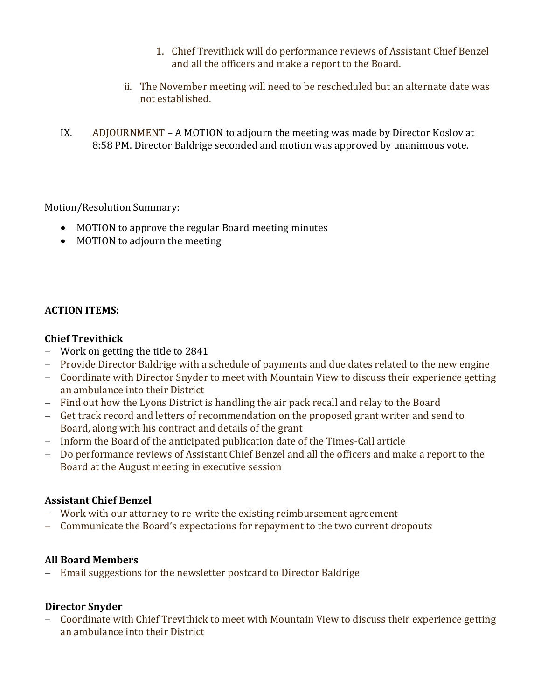- 1. Chief Trevithick will do performance reviews of Assistant Chief Benzel and all the officers and make a report to the Board.
- ii. The November meeting will need to be rescheduled but an alternate date was not established.
- IX. ADJOURNMENT A MOTION to adjourn the meeting was made by Director Koslov at 8:58 PM. Director Baldrige seconded and motion was approved by unanimous vote.

Motion/Resolution Summary:

- MOTION to approve the regular Board meeting minutes
- MOTION to adjourn the meeting

## **ACTION ITEMS:**

#### **Chief Trevithick**

- $-$  Work on getting the title to 2841
- Provide Director Baldrige with a schedule of payments and due dates related to the new engine
- Coordinate with Director Snyder to meet with Mountain View to discuss their experience getting an ambulance into their District
- Find out how the Lyons District is handling the air pack recall and relay to the Board
- Get track record and letters of recommendation on the proposed grant writer and send to Board, along with his contract and details of the grant
- Inform the Board of the anticipated publication date of the Times-Call article
- Do performance reviews of Assistant Chief Benzel and all the officers and make a report to the Board at the August meeting in executive session

## **Assistant Chief Benzel**

- Work with our attorney to re-write the existing reimbursement agreement
- Communicate the Board's expectations for repayment to the two current dropouts

## **All Board Members**

- Email suggestions for the newsletter postcard to Director Baldrige

## **Director Snyder**

- Coordinate with Chief Trevithick to meet with Mountain View to discuss their experience getting an ambulance into their District